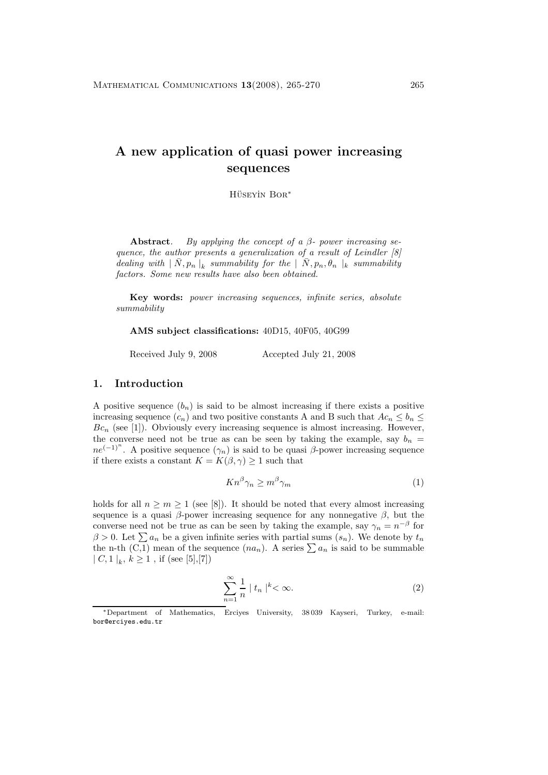# **A new application of quasi power increasing sequences**

HÜSEYİN BOR<sup>\*</sup>

**Abstract***. By applying the concept of a* β*- power increasing sequence, the author presents a generalization of a result of Leindler [8]*  $\emph{dealing with} \mid \bar{N}, p_n \mid_k \emph{summability for the} \mid \bar{N}, p_n, \theta_n \mid_k \emph{summability}$ *factors. Some new results have also been obtained.*

**Key words:** *power increasing sequences, infinite series, absolute summability*

**AMS subject classifications:** 40D15, 40F05, 40G99

Received July 9, 2008 Accepted July 21, 2008

### **1. Introduction**

A positive sequence  $(b_n)$  is said to be almost increasing if there exists a positive increasing sequence  $(c_n)$  and two positive constants A and B such that  $Ac_n \leq b_n \leq$  $Bc_n$  (see [1]). Obviously every increasing sequence is almost increasing. However, the converse need not be true as can be seen by taking the example, say  $b_n =$  $ne^{(-1)^n}$ . A positive sequence  $(\gamma_n)$  is said to be quasi  $\beta$ -power increasing sequence if there exists a constant  $K = K(\beta, \gamma) \ge 1$  such that

$$
Kn^{\beta}\gamma_n \ge m^{\beta}\gamma_m \tag{1}
$$

holds for all  $n \geq m \geq 1$  (see [8]). It should be noted that every almost increasing sequence is a quasi  $\beta$ -power increasing sequence for any nonnegative  $\beta$ , but the converse need not be true as can be seen by taking the example, say  $\gamma_n = n^{-\beta}$  for  $\beta > 0$ . Let  $\sum a_n$  be a given infinite series with partial sums  $(s_n)$ . We denote by  $t_n$ the n-th  $(\overline{C,1})$  mean of the sequence  $(na_n)$ . A series  $\sum a_n$  is said to be summable  $| C, 1 |_{k}, k \ge 1$ , if (see [5],[7])

$$
\sum_{n=1}^{\infty} \frac{1}{n} |t_n|^{k} < \infty.
$$
 (2)

<sup>∗</sup>Department of Mathematics, Erciyes University, 38 039 Kayseri, Turkey, e-mail: bor@erciyes.edu.tr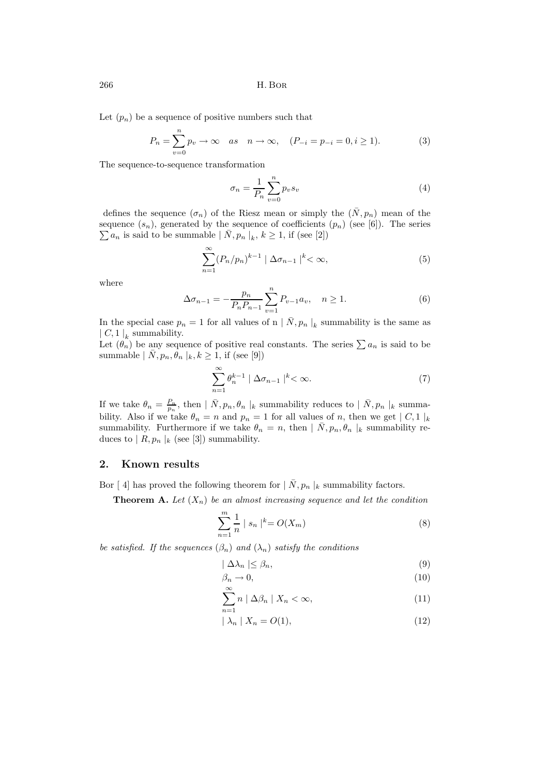266 H. Bor

Let  $(p_n)$  be a sequence of positive numbers such that

$$
P_n = \sum_{v=0}^{n} p_v \to \infty \quad as \quad n \to \infty, \quad (P_{-i} = p_{-i} = 0, i \ge 1).
$$
 (3)

The sequence-to-sequence transformation

$$
\sigma_n = \frac{1}{P_n} \sum_{v=0}^n p_v s_v \tag{4}
$$

defines the sequence  $(\sigma_n)$  of the Riesz mean or simply the  $(\bar{N},p_n)$  mean of the  $\sum a_n$  is said to be summable  $| \bar{N}, p_n |_k, k \ge 1$ , if (see [2]) sequence  $(s_n)$ , generated by the sequence of coefficients  $(p_n)$  (see [6]). The series

$$
\sum_{n=1}^{\infty} (P_n/p_n)^{k-1} \mid \Delta \sigma_{n-1} \mid^k < \infty,
$$
\n
$$
(5)
$$

where

$$
\Delta \sigma_{n-1} = -\frac{p_n}{P_n P_{n-1}} \sum_{v=1}^n P_{v-1} a_v, \quad n \ge 1.
$$
 (6)

In the special case  $p_n = 1$  for all values of n  $| \overline{N}, p_n |_{k}$  summability is the same as  $\lfloor C, 1 \rfloor_k$  summability.

Let  $(\hat{\theta}_n)$  be any sequence of positive real constants. The series  $\sum a_n$  is said to be summable  $| \bar{N}, p_n, \theta_n |_k, k \geq 1$ , if (see [9])

$$
\sum_{n=1}^{\infty} \theta_n^{k-1} \mid \Delta \sigma_{n-1} \mid^k < \infty. \tag{7}
$$

If we take  $\theta_n = \frac{P_n}{p_n}$ , then  $| \bar{N}, p_n, \theta_n |_k$  summability reduces to  $| \bar{N}, p_n |_k$  summability. Also if we take  $\theta_n = n$  and  $p_n = 1$  for all values of n, then we get  $|C, 1|$  k summability. Furthermore if we take  $\theta_n = n$ , then  $| \bar{N}, p_n, \theta_n |_{k}$  summability reduces to  $|R, p_n|_k$  (see [3]) summability.

#### **2. Known results**

Bor [4] has proved the following theorem for  $| N, p_n |_k$  summability factors.

**Theorem A.** Let  $(X_n)$  be an almost increasing sequence and let the condition

$$
\sum_{n=1}^{m} \frac{1}{n} |s_n|^{k} = O(X_m)
$$
 (8)

*be satisfied. If the sequences*  $(\beta_n)$  *and*  $(\lambda_n)$  *satisfy the conditions* 

$$
|\Delta\lambda_n| \leq \beta_n,\tag{9}
$$

$$
\beta_n \to 0,\tag{10}
$$

$$
\sum_{n=1}^{\infty} n \mid \Delta \beta_n \mid X_n < \infty,\tag{11}
$$

$$
|\lambda_n| X_n = O(1), \tag{12}
$$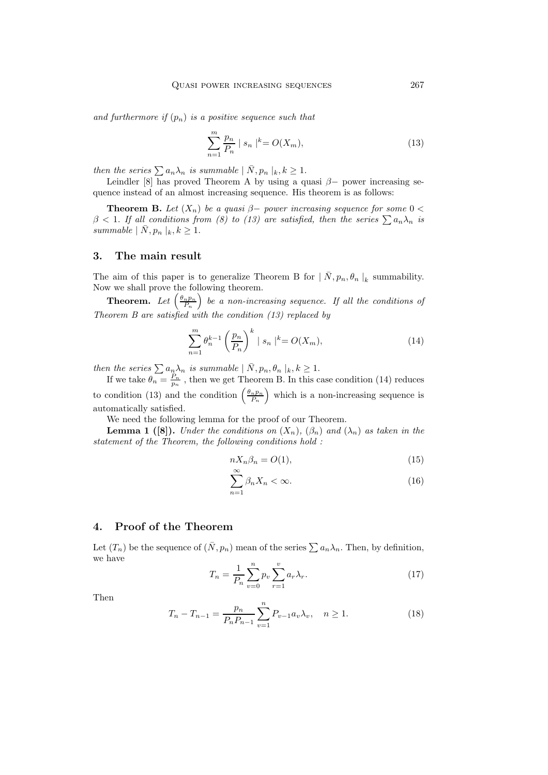and furthermore if  $(p_n)$  is a positive sequence such that

$$
\sum_{n=1}^{m} \frac{p_n}{P_n} \mid s_n \mid^k = O(X_m), \tag{13}
$$

*then the series*  $\sum a_n \lambda_n$  *is summable*  $|\bar{N}, p_n|_k, k \geq 1$ .

Leindler [8] has proved Theorem A by using a quasi  $\beta$ - power increasing sequence instead of an almost increasing sequence. His theorem is as follows:

**Theorem B.** Let  $(X_n)$  be a quasi  $\beta$ - power increasing sequence for some  $0 < \beta$  $\beta$  < 1. If all conditions from (8) to (13) are satisfied, then the series  $\sum a_n \lambda_n$  is *summable*  $|\bar{N},p_n|_k, k \geq 1$ .

### **3. The main result**

The aim of this paper is to generalize Theorem B for  $| \overline{N}, p_n, \theta_n |_k$  summability. Now we shall prove the following theorem.

**Theorem.** Let  $\left(\frac{\theta_n p_n}{P_n}\right)$  be a non-increasing sequence. If all the conditions of *Theorem B are satisfied with the condition (13) replaced by*

$$
\sum_{n=1}^{m} \theta_n^{k-1} \left(\frac{p_n}{P_n}\right)^k \mid s_n \mid^k = O(X_m), \tag{14}
$$

*then the series*  $\sum a_n \lambda_n$  *is summable*  $| N, p_n, \theta_n |_{k}, k \geq 1.$ 

If we take  $\theta_n = \frac{P_n}{p_n}$ , then we get Theorem B. In this case condition (14) reduces to condition (13) and the condition  $\left(\frac{\theta_n p_n}{P_n}\right)$  which is a non-increasing sequence is automatically satisfied.

We need the following lemma for the proof of our Theorem.

**Lemma 1 ([8]).** *Under the conditions on*  $(X_n)$ ,  $(\beta_n)$  *and*  $(\lambda_n)$  *as taken in the statement of the Theorem, the following conditions hold :*

$$
nX_n\beta_n = O(1),\tag{15}
$$

$$
\sum_{n=1}^{\infty} \beta_n X_n < \infty. \tag{16}
$$

#### **4. Proof of the Theorem**

Let  $(T_n)$  be the sequence of  $(\bar{N},p_n)$  mean of the series  $\sum a_n\lambda_n$ . Then, by definition, we have

$$
T_n = \frac{1}{P_n} \sum_{v=0}^{n} p_v \sum_{r=1}^{v} a_r \lambda_r.
$$
 (17)

Then

$$
T_n - T_{n-1} = \frac{p_n}{P_n P_{n-1}} \sum_{v=1}^n P_{v-1} a_v \lambda_v, \quad n \ge 1.
$$
 (18)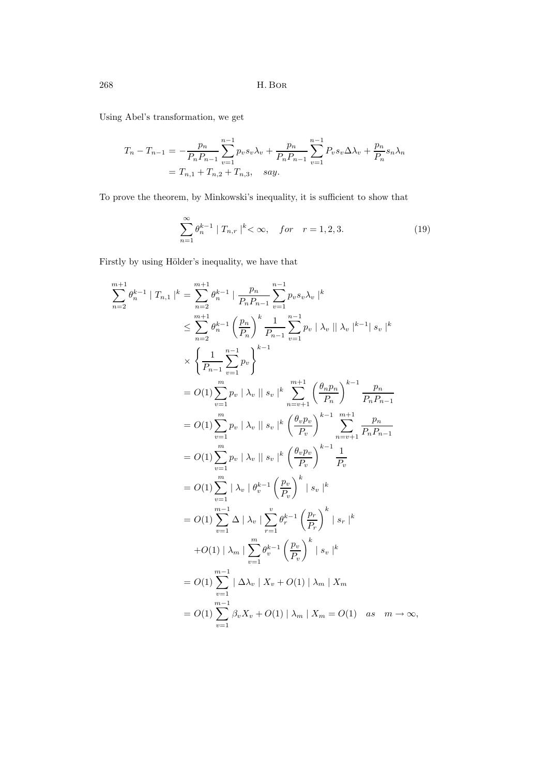268 H. Bor

Using Abel's transformation, we get

$$
T_n - T_{n-1} = -\frac{p_n}{P_n P_{n-1}} \sum_{v=1}^{n-1} p_v s_v \lambda_v + \frac{p_n}{P_n P_{n-1}} \sum_{v=1}^{n-1} P_v s_v \Delta \lambda_v + \frac{p_n}{P_n} s_n \lambda_n
$$
  
=  $T_{n,1} + T_{n,2} + T_{n,3}$ , say.

To prove the theorem, by Minkowski's inequality, it is sufficient to show that

$$
\sum_{n=1}^{\infty} \theta_n^{k-1} |T_{n,r}|^k < \infty, \quad for \quad r = 1, 2, 3.
$$
 (19)

Firstly by using Hölder's inequality, we have that

$$
\sum_{n=2}^{m+1} \theta_n^{k-1} |T_{n,1}|^k = \sum_{n=2}^{m+1} \theta_n^{k-1} \left| \frac{p_n}{P_n P_{n-1}} \sum_{v=1}^{n-1} p_v s_v \lambda_v \right|^k
$$
  
\n
$$
\leq \sum_{n=2}^{m+1} \theta_n^{k-1} \left( \frac{p_n}{P_n} \right)^k \frac{1}{P_{n-1}} \sum_{v=1}^{n-1} p_v |\lambda_v| |\lambda_v|^{k-1} |s_v|^k
$$
  
\n
$$
\times \left\{ \frac{1}{P_{n-1}} \sum_{v=1}^{n-1} p_v \right\}^{k-1}
$$
  
\n
$$
= O(1) \sum_{v=1}^{m} p_v |\lambda_v| |s_v|^k \sum_{n=v+1}^{m+1} \left( \frac{\theta_n p_n}{P_n} \right)^{k-1} \frac{p_n}{P_n P_{n-1}}
$$
  
\n
$$
= O(1) \sum_{v=1}^{m} p_v |\lambda_v| |s_v|^k \left( \frac{\theta_v p_v}{P_v} \right)^{k-1} \frac{1}{P_n P_{n-1}}
$$
  
\n
$$
= O(1) \sum_{v=1}^{m} p_v |\lambda_v| |s_v|^k \left( \frac{\theta_v p_v}{P_v} \right)^{k-1} \frac{1}{P_v}
$$
  
\n
$$
= O(1) \sum_{v=1}^{m} |\lambda_v| \theta_v^{k-1} \left( \frac{p_v}{P_v} \right)^k |s_v|^k
$$
  
\n
$$
= O(1) \sum_{v=1}^{m-1} |\Delta| |\lambda_v| \sum_{r=1}^{v} \theta_r^{k-1} \left( \frac{p_v}{P_v} \right)^k |s_r|^k
$$
  
\n
$$
+ O(1) |\lambda_m| \sum_{v=1}^{m} \theta_v^{k-1} \left( \frac{p_v}{P_v} \right)^k |s_v|^k
$$
  
\n
$$
= O(1) \sum_{v=1}^{m-1} |\Delta\lambda_v| X_v + O(1) |\lambda_m| X_m
$$
  
\n
$$
= O(1) \sum_{v=1}^{m-1} \beta_v X_v + O(1) |\lambda_m| X_m = O(1) \text{ as } m \to \
$$

m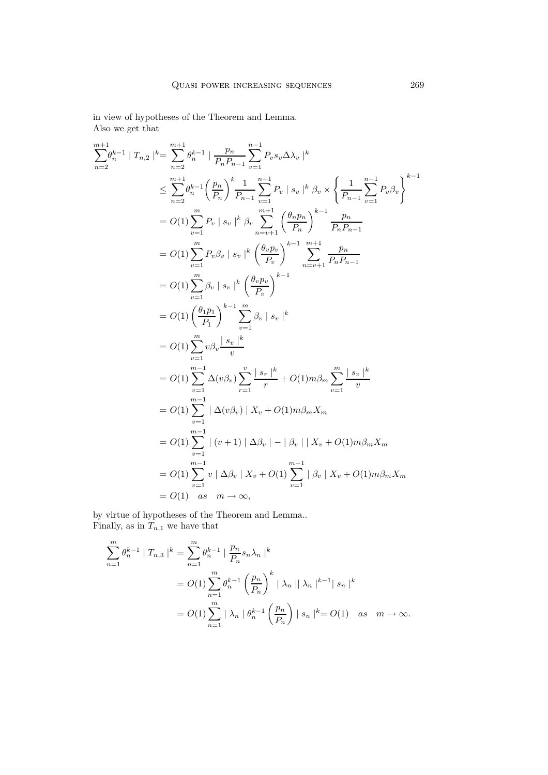in view of hypotheses of the Theorem and Lemma. Also we get that

$$
\sum_{n=2}^{m+1} |T_{n,2}|^{k} = \sum_{n=2}^{m+1} \theta_{n}^{k-1} | \frac{p_{n}}{P_{n}P_{n-1}} \sum_{v=1}^{n-1} P_{v} s_{v} \Delta \lambda_{v} |^{k}
$$
\n
$$
\leq \sum_{n=2}^{m+1} \theta_{n}^{k-1} \left( \frac{p_{n}}{P_{n}} \right)^{k} \frac{1}{P_{n-1}} \sum_{v=1}^{n-1} P_{v} |s_{v}|^{k} \beta_{v} \times \left\{ \frac{1}{P_{n-1}} \sum_{v=1}^{n-1} P_{v} \beta_{v} \right\}^{k-1}
$$
\n
$$
= O(1) \sum_{v=1}^{m} P_{v} |s_{v}|^{k} \beta_{v} \sum_{n=v+1}^{m+1} \left( \frac{\theta_{n}p_{n}}{P_{n}} \right)^{k-1} \frac{p_{n}}{P_{n}P_{n-1}}
$$
\n
$$
= O(1) \sum_{v=1}^{m} P_{v} \beta_{v} |s_{v}|^{k} \left( \frac{\theta_{v}p_{v}}{P_{v}} \right)^{k-1} \sum_{n=v+1}^{m+1} \frac{p_{n}}{P_{n}P_{n-1}}
$$
\n
$$
= O(1) \sum_{v=1}^{m} \beta_{v} |s_{v}|^{k} \left( \frac{\theta_{v}p_{v}}{P_{v}} \right)^{k-1} \sum_{n=v+1}^{n-1} \frac{p_{n}}{P_{n}P_{n-1}}
$$
\n
$$
= O(1) \left( \frac{\theta_{1}p_{1}}{P_{1}} \right)^{k-1} \sum_{v=1}^{m} \beta_{v} |s_{v}|^{k}
$$
\n
$$
= O(1) \sum_{v=1}^{m} \Delta(v \beta_{v}) \sum_{r=1}^{v} \frac{|s_{r}|^{k}}{r} + O(1) m \beta_{m} \sum_{v=1}^{m} \frac{|s_{v}|^{k}}{v}
$$
\n
$$
= O(1) \sum_{v=1}^{m-1} |\Delta(v \beta_{v})| X_{v} + O(1) m \beta_{m} X_{m}
$$
\n
$$
= O(1) \sum_{v=1}^{m-
$$

by virtue of hypotheses of the Theorem and Lemma.. Finally, as in  $T_{n,1}$  we have that

$$
\sum_{n=1}^{m} \theta_n^{k-1} | T_{n,3} |^{k} = \sum_{n=1}^{m} \theta_n^{k-1} | \frac{p_n}{P_n} s_n \lambda_n |^{k}
$$
  
=  $O(1) \sum_{n=1}^{m} \theta_n^{k-1} \left( \frac{p_n}{P_n} \right)^k | \lambda_n | | \lambda_n |^{k-1} | s_n |^{k}$   
=  $O(1) \sum_{n=1}^{m} | \lambda_n | \theta_n^{k-1} \left( \frac{p_n}{P_n} \right) | s_n |^{k} = O(1)$  as  $m \to \infty$ .